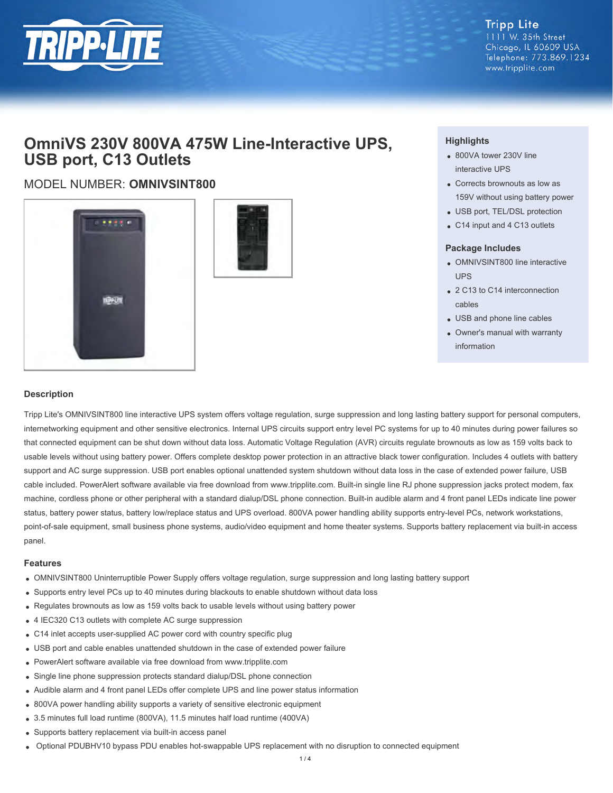

#### **Tripp Lite** 1111 W. 35th Street Chicago, IL 60609 USA Telephone: 773.869.1234 www.tripplite.com

## **OmniVS 230V 800VA 475W Line-Interactive UPS, USB port, C13 Outlets**

### MODEL NUMBER: **OMNIVSINT800**





#### **Highlights**

- 800VA tower 230V line interactive UPS
- Corrects brownouts as low as 159V without using battery power
- USB port, TEL/DSL protection
- C14 input and 4 C13 outlets

#### **Package Includes**

- OMNIVSINT800 line interactive UPS
- 2 C13 to C14 interconnection cables
- USB and phone line cables
- Owner's manual with warranty information

#### **Description**

Tripp Lite's OMNIVSINT800 line interactive UPS system offers voltage regulation, surge suppression and long lasting battery support for personal computers, internetworking equipment and other sensitive electronics. Internal UPS circuits support entry level PC systems for up to 40 minutes during power failures so that connected equipment can be shut down without data loss. Automatic Voltage Regulation (AVR) circuits regulate brownouts as low as 159 volts back to usable levels without using battery power. Offers complete desktop power protection in an attractive black tower configuration. Includes 4 outlets with battery support and AC surge suppression. USB port enables optional unattended system shutdown without data loss in the case of extended power failure, USB cable included. PowerAlert software available via free download from www.tripplite.com. Built-in single line RJ phone suppression jacks protect modem, fax machine, cordless phone or other peripheral with a standard dialup/DSL phone connection. Built-in audible alarm and 4 front panel LEDs indicate line power status, battery power status, battery low/replace status and UPS overload. 800VA power handling ability supports entry-level PCs, network workstations, point-of-sale equipment, small business phone systems, audio/video equipment and home theater systems. Supports battery replacement via built-in access panel.

#### **Features**

- OMNIVSINT800 Uninterruptible Power Supply offers voltage regulation, surge suppression and long lasting battery support
- Supports entry level PCs up to 40 minutes during blackouts to enable shutdown without data loss
- Regulates brownouts as low as 159 volts back to usable levels without using battery power
- 4 IEC320 C13 outlets with complete AC surge suppression
- C14 inlet accepts user-supplied AC power cord with country specific plug
- USB port and cable enables unattended shutdown in the case of extended power failure
- PowerAlert software available via free download from www.tripplite.com
- Single line phone suppression protects standard dialup/DSL phone connection
- Audible alarm and 4 front panel LEDs offer complete UPS and line power status information
- 800VA power handling ability supports a variety of sensitive electronic equipment
- 3.5 minutes full load runtime (800VA), 11.5 minutes half load runtime (400VA)
- Supports battery replacement via built-in access panel
- Optional PDUBHV10 bypass PDU enables hot-swappable UPS replacement with no disruption to connected equipment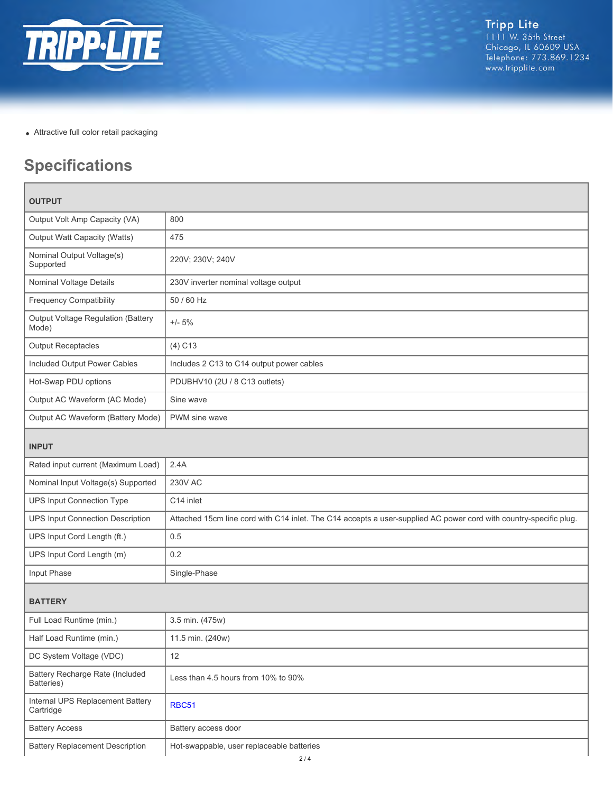

Attractive full color retail packaging

# **Specifications**

| <b>OUTPUT</b>                                 |                                                                                                                   |  |
|-----------------------------------------------|-------------------------------------------------------------------------------------------------------------------|--|
| Output Volt Amp Capacity (VA)                 | 800                                                                                                               |  |
| <b>Output Watt Capacity (Watts)</b>           | 475                                                                                                               |  |
| Nominal Output Voltage(s)<br>Supported        | 220V; 230V; 240V                                                                                                  |  |
| Nominal Voltage Details                       | 230V inverter nominal voltage output                                                                              |  |
| <b>Frequency Compatibility</b>                | 50 / 60 Hz                                                                                                        |  |
| Output Voltage Regulation (Battery<br>Mode)   | $+/- 5%$                                                                                                          |  |
| <b>Output Receptacles</b>                     | $(4)$ C <sub>13</sub>                                                                                             |  |
| Included Output Power Cables                  | Includes 2 C13 to C14 output power cables                                                                         |  |
| Hot-Swap PDU options                          | PDUBHV10 (2U / 8 C13 outlets)                                                                                     |  |
| Output AC Waveform (AC Mode)                  | Sine wave                                                                                                         |  |
| Output AC Waveform (Battery Mode)             | PWM sine wave                                                                                                     |  |
| <b>INPUT</b>                                  |                                                                                                                   |  |
| Rated input current (Maximum Load)            | 2.4A                                                                                                              |  |
| Nominal Input Voltage(s) Supported            | <b>230V AC</b>                                                                                                    |  |
| <b>UPS Input Connection Type</b>              | C14 inlet                                                                                                         |  |
| <b>UPS Input Connection Description</b>       | Attached 15cm line cord with C14 inlet. The C14 accepts a user-supplied AC power cord with country-specific plug. |  |
| UPS Input Cord Length (ft.)                   | 0.5                                                                                                               |  |
| UPS Input Cord Length (m)                     | 0.2                                                                                                               |  |
| Input Phase                                   | Single-Phase                                                                                                      |  |
| <b>BATTERY</b>                                |                                                                                                                   |  |
| Full Load Runtime (min.)                      | 3.5 min. (475w)                                                                                                   |  |
| Half Load Runtime (min.)                      | 11.5 min. (240w)                                                                                                  |  |
| DC System Voltage (VDC)                       | 12                                                                                                                |  |
| Battery Recharge Rate (Included<br>Batteries) | Less than 4.5 hours from 10% to 90%                                                                               |  |
| Internal UPS Replacement Battery<br>Cartridge | <b>RBC51</b>                                                                                                      |  |
| <b>Battery Access</b>                         | Battery access door                                                                                               |  |
| <b>Battery Replacement Description</b>        | Hot-swappable, user replaceable batteries                                                                         |  |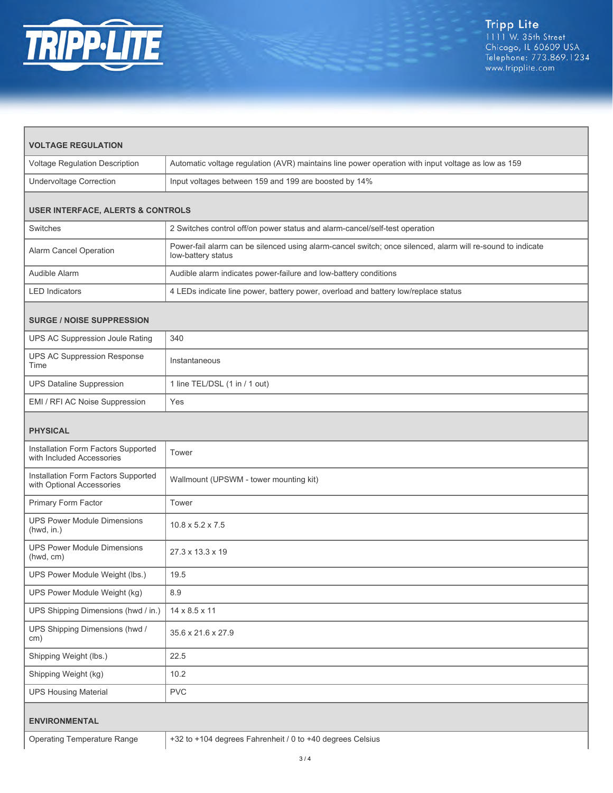

| <b>VOLTAGE REGULATION</b>                                        |                                                                                                                                  |  |
|------------------------------------------------------------------|----------------------------------------------------------------------------------------------------------------------------------|--|
| Voltage Regulation Description                                   | Automatic voltage regulation (AVR) maintains line power operation with input voltage as low as 159                               |  |
| <b>Undervoltage Correction</b>                                   | Input voltages between 159 and 199 are boosted by 14%                                                                            |  |
| <b>USER INTERFACE, ALERTS &amp; CONTROLS</b>                     |                                                                                                                                  |  |
| Switches                                                         | 2 Switches control off/on power status and alarm-cancel/self-test operation                                                      |  |
| Alarm Cancel Operation                                           | Power-fail alarm can be silenced using alarm-cancel switch; once silenced, alarm will re-sound to indicate<br>low-battery status |  |
| Audible Alarm                                                    | Audible alarm indicates power-failure and low-battery conditions                                                                 |  |
| <b>LED Indicators</b>                                            | 4 LEDs indicate line power, battery power, overload and battery low/replace status                                               |  |
| <b>SURGE / NOISE SUPPRESSION</b>                                 |                                                                                                                                  |  |
| UPS AC Suppression Joule Rating                                  | 340                                                                                                                              |  |
| UPS AC Suppression Response<br>Time                              | Instantaneous                                                                                                                    |  |
| <b>UPS Dataline Suppression</b>                                  | 1 line TEL/DSL (1 in / 1 out)                                                                                                    |  |
| EMI / RFI AC Noise Suppression                                   | Yes                                                                                                                              |  |
| <b>PHYSICAL</b>                                                  |                                                                                                                                  |  |
| Installation Form Factors Supported<br>with Included Accessories | Tower                                                                                                                            |  |
| Installation Form Factors Supported<br>with Optional Accessories | Wallmount (UPSWM - tower mounting kit)                                                                                           |  |
| Primary Form Factor                                              | Tower                                                                                                                            |  |
| <b>UPS Power Module Dimensions</b><br>(hwd, in.)                 | $10.8 \times 5.2 \times 7.5$                                                                                                     |  |
| UPS Power Module Dimensions<br>(hwd, cm)                         | 27.3 x 13.3 x 19                                                                                                                 |  |
| UPS Power Module Weight (lbs.)                                   | 19.5                                                                                                                             |  |
| UPS Power Module Weight (kg)                                     | 8.9                                                                                                                              |  |
| UPS Shipping Dimensions (hwd / in.)                              | 14 x 8.5 x 11                                                                                                                    |  |
| UPS Shipping Dimensions (hwd /<br>cm)                            | 35.6 x 21.6 x 27.9                                                                                                               |  |
| Shipping Weight (lbs.)                                           | 22.5                                                                                                                             |  |
| Shipping Weight (kg)                                             | 10.2                                                                                                                             |  |
| <b>UPS Housing Material</b>                                      | <b>PVC</b>                                                                                                                       |  |
| <b>ENVIRONMENTAL</b>                                             |                                                                                                                                  |  |
| <b>Operating Temperature Range</b>                               | +32 to +104 degrees Fahrenheit / 0 to +40 degrees Celsius                                                                        |  |